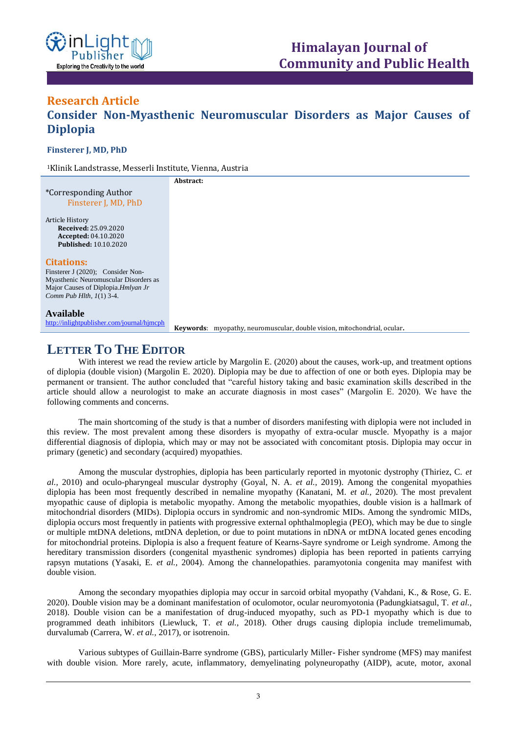

## **Research Article Consider Non-Myasthenic Neuromuscular Disorders as Major Causes of Diplopia ISSN: XXXX-XXXX Open Access**

**Finsterer J, MD, PhD**

<sup>1</sup>Klinik Landstrasse, Messerli Institute, Vienna, Austria

**Abstract:**

\*Corresponding Author Finsterer J, MD, PhD

Article History **Received:** 25.09.2020 **Accepted:** 04.10.2020 **Published:** 10.10.2020

#### **Citations:**

Finsterer J (2020); Consider Non-Myasthenic Neuromuscular Disorders as Major Causes of Diplopia.*Hmlyan Jr Comm Pub Hlth, 1*(1) 3-4.

#### **Available**

<http://inlightpublisher.com/journal/hjmcph>

**Keywords**: myopathy, neuromuscular, double vision, mitochondrial, ocular**.**

# **LETTER TO THE EDITOR**

With interest we read the review article by Margolin E. (2020) about the causes, work-up, and treatment options of diplopia (double vision) (Margolin E. 2020). Diplopia may be due to affection of one or both eyes. Diplopia may be permanent or transient. The author concluded that "careful history taking and basic examination skills described in the article should allow a neurologist to make an accurate diagnosis in most cases" (Margolin E. 2020). We have the following comments and concerns.

The main shortcoming of the study is that a number of disorders manifesting with diplopia were not included in this review. The most prevalent among these disorders is myopathy of extra-ocular muscle. Myopathy is a major differential diagnosis of diplopia, which may or may not be associated with concomitant ptosis. Diplopia may occur in primary (genetic) and secondary (acquired) myopathies.

Among the muscular dystrophies, diplopia has been particularly reported in myotonic dystrophy (Thiriez, C. *et al.,* 2010) and oculo-pharyngeal muscular dystrophy (Goyal, N. A. *et al.,* 2019). Among the congenital myopathies diplopia has been most frequently described in nemaline myopathy (Kanatani, M. *et al.,* 2020). The most prevalent myopathic cause of diplopia is metabolic myopathy. Among the metabolic myopathies, double vision is a hallmark of mitochondrial disorders (MIDs). Diplopia occurs in syndromic and non-syndromic MIDs. Among the syndromic MIDs, diplopia occurs most frequently in patients with progressive external ophthalmoplegia (PEO), which may be due to single or multiple mtDNA deletions, mtDNA depletion, or due to point mutations in nDNA or mtDNA located genes encoding for mitochondrial proteins. Diplopia is also a frequent feature of Kearns-Sayre syndrome or Leigh syndrome. Among the hereditary transmission disorders (congenital myasthenic syndromes) diplopia has been reported in patients carrying rapsyn mutations (Yasaki, E. *et al.,* 2004). Among the channelopathies. paramyotonia congenita may manifest with double vision.

Among the secondary myopathies diplopia may occur in sarcoid orbital myopathy (Vahdani, K., & Rose, G. E. 2020). Double vision may be a dominant manifestation of oculomotor, ocular neuromyotonia (Padungkiatsagul, T. *et al.,* 2018). Double vision can be a manifestation of drug-induced myopathy, such as PD-1 myopathy which is due to programmed death inhibitors (Liewluck, T. *et al.,* 2018). Other drugs causing diplopia include tremelimumab, durvalumab (Carrera, W. *et al.,* 2017), or isotrenoin.

Various subtypes of Guillain-Barre syndrome (GBS), particularly Miller- Fisher syndrome (MFS) may manifest with double vision. More rarely, acute, inflammatory, demyelinating polyneuropathy (AIDP), acute, motor, axonal